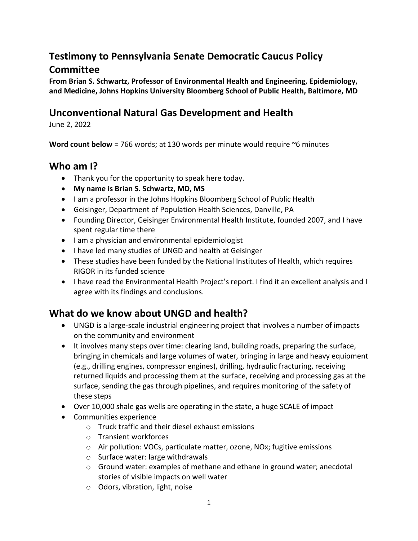# **Testimony to Pennsylvania Senate Democratic Caucus Policy Committee**

**From Brian S. Schwartz, Professor of Environmental Health and Engineering, Epidemiology, and Medicine, Johns Hopkins University Bloomberg School of Public Health, Baltimore, MD**

#### **Unconventional Natural Gas Development and Health**

June 2, 2022

**Word count below** = 766 words; at 130 words per minute would require ~6 minutes

### **Who am I?**

- Thank you for the opportunity to speak here today.
- **My name is Brian S. Schwartz, MD, MS**
- I am a professor in the Johns Hopkins Bloomberg School of Public Health
- Geisinger, Department of Population Health Sciences, Danville, PA
- Founding Director, Geisinger Environmental Health Institute, founded 2007, and I have spent regular time there
- I am a physician and environmental epidemiologist
- I have led many studies of UNGD and health at Geisinger
- These studies have been funded by the National Institutes of Health, which requires RIGOR in its funded science
- I have read the Environmental Health Project's report. I find it an excellent analysis and I agree with its findings and conclusions.

## **What do we know about UNGD and health?**

- UNGD is a large-scale industrial engineering project that involves a number of impacts on the community and environment
- It involves many steps over time: clearing land, building roads, preparing the surface, bringing in chemicals and large volumes of water, bringing in large and heavy equipment (e.g., drilling engines, compressor engines), drilling, hydraulic fracturing, receiving returned liquids and processing them at the surface, receiving and processing gas at the surface, sending the gas through pipelines, and requires monitoring of the safety of these steps
- Over 10,000 shale gas wells are operating in the state, a huge SCALE of impact
- Communities experience
	- o Truck traffic and their diesel exhaust emissions
	- o Transient workforces
	- o Air pollution: VOCs, particulate matter, ozone, NOx; fugitive emissions
	- o Surface water: large withdrawals
	- $\circ$  Ground water: examples of methane and ethane in ground water; anecdotal stories of visible impacts on well water
	- o Odors, vibration, light, noise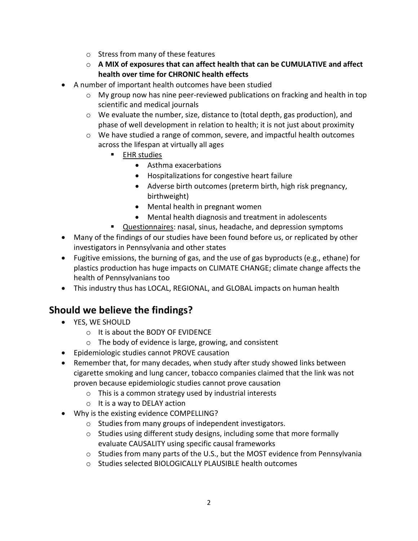- o Stress from many of these features
- o **A MIX of exposures that can affect health that can be CUMULATIVE and affect health over time for CHRONIC health effects**
- A number of important health outcomes have been studied
	- o My group now has nine peer-reviewed publications on fracking and health in top scientific and medical journals
	- $\circ$  We evaluate the number, size, distance to (total depth, gas production), and phase of well development in relation to health; it is not just about proximity
	- o We have studied a range of common, severe, and impactful health outcomes across the lifespan at virtually all ages
		- EHR studies
			- Asthma exacerbations
			- Hospitalizations for congestive heart failure
			- Adverse birth outcomes (preterm birth, high risk pregnancy, birthweight)
			- Mental health in pregnant women
			- Mental health diagnosis and treatment in adolescents
		- Questionnaires: nasal, sinus, headache, and depression symptoms
- Many of the findings of our studies have been found before us, or replicated by other investigators in Pennsylvania and other states
- Fugitive emissions, the burning of gas, and the use of gas byproducts (e.g., ethane) for plastics production has huge impacts on CLIMATE CHANGE; climate change affects the health of Pennsylvanians too
- This industry thus has LOCAL, REGIONAL, and GLOBAL impacts on human health

### **Should we believe the findings?**

- YES, WE SHOULD
	- o It is about the BODY OF EVIDENCE
	- o The body of evidence is large, growing, and consistent
- Epidemiologic studies cannot PROVE causation
- Remember that, for many decades, when study after study showed links between cigarette smoking and lung cancer, tobacco companies claimed that the link was not proven because epidemiologic studies cannot prove causation
	- o This is a common strategy used by industrial interests
	- o It is a way to DELAY action
- Why is the existing evidence COMPELLING?
	- o Studies from many groups of independent investigators.
	- o Studies using different study designs, including some that more formally evaluate CAUSALITY using specific causal frameworks
	- $\circ$  Studies from many parts of the U.S., but the MOST evidence from Pennsylvania
	- o Studies selected BIOLOGICALLY PLAUSIBLE health outcomes